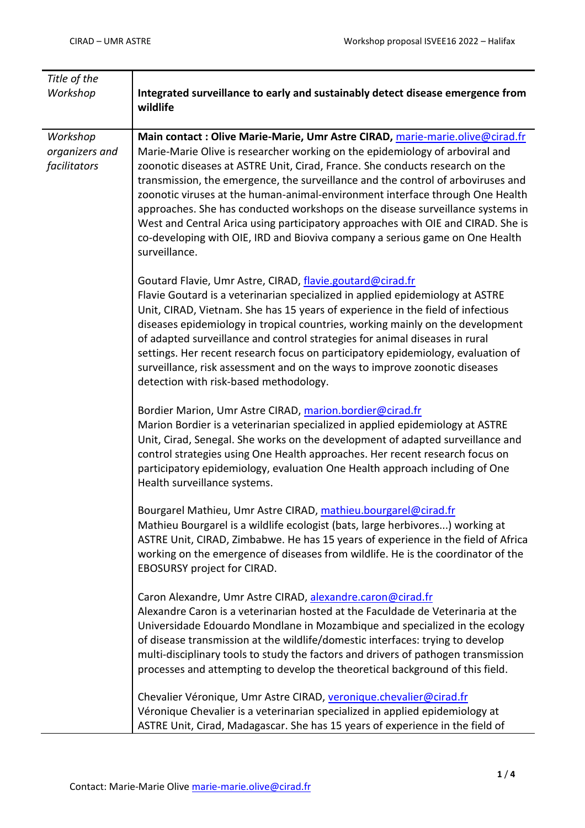| Title of the                               |                                                                                                                                                                                                                                                                                                                                                                                                                                                                                                                                                                                                                                                                                          |
|--------------------------------------------|------------------------------------------------------------------------------------------------------------------------------------------------------------------------------------------------------------------------------------------------------------------------------------------------------------------------------------------------------------------------------------------------------------------------------------------------------------------------------------------------------------------------------------------------------------------------------------------------------------------------------------------------------------------------------------------|
| Workshop                                   | Integrated surveillance to early and sustainably detect disease emergence from<br>wildlife                                                                                                                                                                                                                                                                                                                                                                                                                                                                                                                                                                                               |
| Workshop<br>organizers and<br>facilitators | Main contact: Olive Marie-Marie, Umr Astre CIRAD, marie-marie.olive@cirad.fr<br>Marie-Marie Olive is researcher working on the epidemiology of arboviral and<br>zoonotic diseases at ASTRE Unit, Cirad, France. She conducts research on the<br>transmission, the emergence, the surveillance and the control of arboviruses and<br>zoonotic viruses at the human-animal-environment interface through One Health<br>approaches. She has conducted workshops on the disease surveillance systems in<br>West and Central Arica using participatory approaches with OIE and CIRAD. She is<br>co-developing with OIE, IRD and Bioviva company a serious game on One Health<br>surveillance. |
|                                            | Goutard Flavie, Umr Astre, CIRAD, flavie.goutard@cirad.fr<br>Flavie Goutard is a veterinarian specialized in applied epidemiology at ASTRE<br>Unit, CIRAD, Vietnam. She has 15 years of experience in the field of infectious<br>diseases epidemiology in tropical countries, working mainly on the development<br>of adapted surveillance and control strategies for animal diseases in rural<br>settings. Her recent research focus on participatory epidemiology, evaluation of<br>surveillance, risk assessment and on the ways to improve zoonotic diseases<br>detection with risk-based methodology.                                                                               |
|                                            | Bordier Marion, Umr Astre CIRAD, marion.bordier@cirad.fr<br>Marion Bordier is a veterinarian specialized in applied epidemiology at ASTRE<br>Unit, Cirad, Senegal. She works on the development of adapted surveillance and<br>control strategies using One Health approaches. Her recent research focus on<br>participatory epidemiology, evaluation One Health approach including of One<br>Health surveillance systems.                                                                                                                                                                                                                                                               |
|                                            | Bourgarel Mathieu, Umr Astre CIRAD, mathieu.bourgarel@cirad.fr<br>Mathieu Bourgarel is a wildlife ecologist (bats, large herbivores) working at<br>ASTRE Unit, CIRAD, Zimbabwe. He has 15 years of experience in the field of Africa<br>working on the emergence of diseases from wildlife. He is the coordinator of the<br>EBOSURSY project for CIRAD.                                                                                                                                                                                                                                                                                                                                  |
|                                            | Caron Alexandre, Umr Astre CIRAD, alexandre.caron@cirad.fr<br>Alexandre Caron is a veterinarian hosted at the Faculdade de Veterinaria at the<br>Universidade Edouardo Mondlane in Mozambique and specialized in the ecology<br>of disease transmission at the wildlife/domestic interfaces: trying to develop<br>multi-disciplinary tools to study the factors and drivers of pathogen transmission<br>processes and attempting to develop the theoretical background of this field.                                                                                                                                                                                                    |
|                                            | Chevalier Véronique, Umr Astre CIRAD, veronique.chevalier@cirad.fr<br>Véronique Chevalier is a veterinarian specialized in applied epidemiology at<br>ASTRE Unit, Cirad, Madagascar. She has 15 years of experience in the field of                                                                                                                                                                                                                                                                                                                                                                                                                                                      |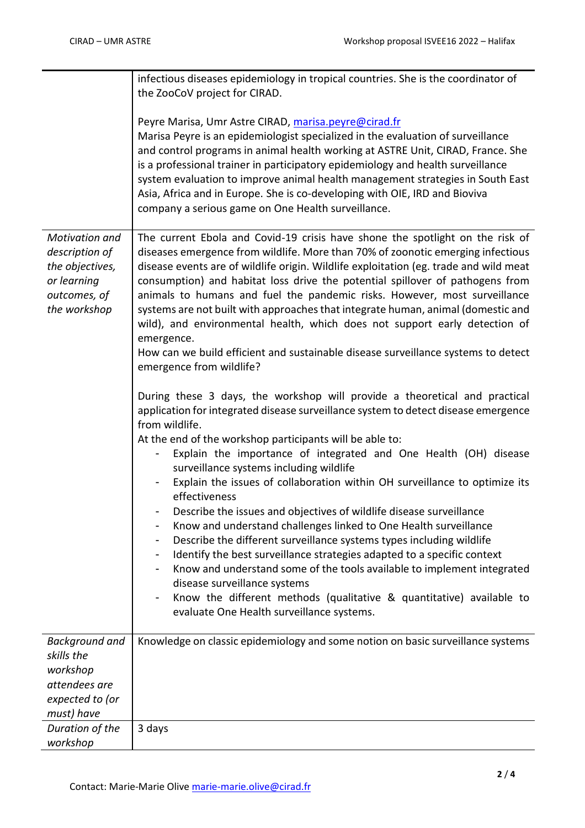|                                                                                                           | infectious diseases epidemiology in tropical countries. She is the coordinator of<br>the ZooCoV project for CIRAD.                                                                                                                                                                                                                                                                                                                                                                                                                                                                                                                                                                                                                                                                                                                                                                                                                                                                                           |
|-----------------------------------------------------------------------------------------------------------|--------------------------------------------------------------------------------------------------------------------------------------------------------------------------------------------------------------------------------------------------------------------------------------------------------------------------------------------------------------------------------------------------------------------------------------------------------------------------------------------------------------------------------------------------------------------------------------------------------------------------------------------------------------------------------------------------------------------------------------------------------------------------------------------------------------------------------------------------------------------------------------------------------------------------------------------------------------------------------------------------------------|
|                                                                                                           | Peyre Marisa, Umr Astre CIRAD, marisa.peyre@cirad.fr<br>Marisa Peyre is an epidemiologist specialized in the evaluation of surveillance<br>and control programs in animal health working at ASTRE Unit, CIRAD, France. She<br>is a professional trainer in participatory epidemiology and health surveillance<br>system evaluation to improve animal health management strategies in South East<br>Asia, Africa and in Europe. She is co-developing with OIE, IRD and Bioviva<br>company a serious game on One Health surveillance.                                                                                                                                                                                                                                                                                                                                                                                                                                                                          |
| <b>Motivation and</b><br>description of<br>the objectives,<br>or learning<br>outcomes, of<br>the workshop | The current Ebola and Covid-19 crisis have shone the spotlight on the risk of<br>diseases emergence from wildlife. More than 70% of zoonotic emerging infectious<br>disease events are of wildlife origin. Wildlife exploitation (eg. trade and wild meat<br>consumption) and habitat loss drive the potential spillover of pathogens from<br>animals to humans and fuel the pandemic risks. However, most surveillance<br>systems are not built with approaches that integrate human, animal (domestic and<br>wild), and environmental health, which does not support early detection of<br>emergence.<br>How can we build efficient and sustainable disease surveillance systems to detect<br>emergence from wildlife?                                                                                                                                                                                                                                                                                     |
|                                                                                                           | During these 3 days, the workshop will provide a theoretical and practical<br>application for integrated disease surveillance system to detect disease emergence<br>from wildlife.<br>At the end of the workshop participants will be able to:<br>Explain the importance of integrated and One Health (OH) disease<br>surveillance systems including wildlife<br>Explain the issues of collaboration within OH surveillance to optimize its<br>effectiveness<br>Describe the issues and objectives of wildlife disease surveillance<br>Know and understand challenges linked to One Health surveillance<br>Describe the different surveillance systems types including wildlife<br>Identify the best surveillance strategies adapted to a specific context<br>Know and understand some of the tools available to implement integrated<br>disease surveillance systems<br>Know the different methods (qualitative & quantitative) available to<br>$\blacksquare$<br>evaluate One Health surveillance systems. |
| <b>Background and</b><br>skills the<br>workshop<br>attendees are<br>expected to (or<br>must) have         | Knowledge on classic epidemiology and some notion on basic surveillance systems                                                                                                                                                                                                                                                                                                                                                                                                                                                                                                                                                                                                                                                                                                                                                                                                                                                                                                                              |
| Duration of the<br>workshop                                                                               | 3 days                                                                                                                                                                                                                                                                                                                                                                                                                                                                                                                                                                                                                                                                                                                                                                                                                                                                                                                                                                                                       |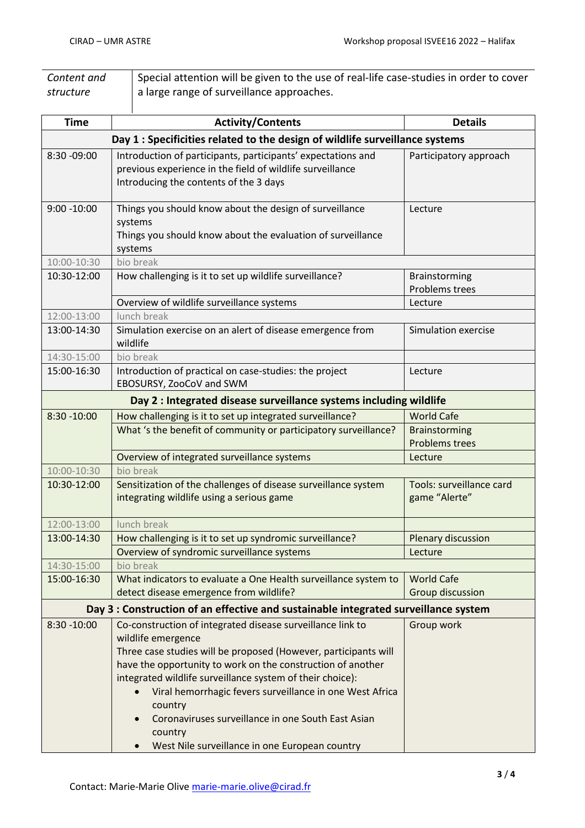| Content and | Special attention will be given to the use of real-life case-studies in order to cover |
|-------------|----------------------------------------------------------------------------------------|
| structure   | I a large range of surveillance approaches.                                            |
|             |                                                                                        |

| <b>Time</b>                                                                  | <b>Activity/Contents</b>                                                                                                                                                                                                                                                                                                                                                                                                                                                  | <b>Details</b>                                |  |  |
|------------------------------------------------------------------------------|---------------------------------------------------------------------------------------------------------------------------------------------------------------------------------------------------------------------------------------------------------------------------------------------------------------------------------------------------------------------------------------------------------------------------------------------------------------------------|-----------------------------------------------|--|--|
| Day 1 : Specificities related to the design of wildlife surveillance systems |                                                                                                                                                                                                                                                                                                                                                                                                                                                                           |                                               |  |  |
| 8:30 - 09:00                                                                 | Introduction of participants, participants' expectations and<br>previous experience in the field of wildlife surveillance<br>Introducing the contents of the 3 days                                                                                                                                                                                                                                                                                                       | Participatory approach                        |  |  |
| $9:00 - 10:00$                                                               | Things you should know about the design of surveillance<br>systems<br>Things you should know about the evaluation of surveillance<br>systems                                                                                                                                                                                                                                                                                                                              | Lecture                                       |  |  |
| 10:00-10:30                                                                  | bio break                                                                                                                                                                                                                                                                                                                                                                                                                                                                 |                                               |  |  |
| 10:30-12:00                                                                  | How challenging is it to set up wildlife surveillance?                                                                                                                                                                                                                                                                                                                                                                                                                    | Brainstorming<br>Problems trees               |  |  |
|                                                                              | Overview of wildlife surveillance systems                                                                                                                                                                                                                                                                                                                                                                                                                                 | Lecture                                       |  |  |
| 12:00-13:00                                                                  | lunch break                                                                                                                                                                                                                                                                                                                                                                                                                                                               |                                               |  |  |
| 13:00-14:30                                                                  | Simulation exercise on an alert of disease emergence from<br>wildlife                                                                                                                                                                                                                                                                                                                                                                                                     | Simulation exercise                           |  |  |
| 14:30-15:00                                                                  | bio break                                                                                                                                                                                                                                                                                                                                                                                                                                                                 |                                               |  |  |
| 15:00-16:30                                                                  | Introduction of practical on case-studies: the project<br>EBOSURSY, ZooCoV and SWM                                                                                                                                                                                                                                                                                                                                                                                        | Lecture                                       |  |  |
|                                                                              | Day 2 : Integrated disease surveillance systems including wildlife                                                                                                                                                                                                                                                                                                                                                                                                        |                                               |  |  |
| $8:30 - 10:00$                                                               | How challenging is it to set up integrated surveillance?                                                                                                                                                                                                                                                                                                                                                                                                                  | <b>World Cafe</b>                             |  |  |
|                                                                              | What 's the benefit of community or participatory surveillance?                                                                                                                                                                                                                                                                                                                                                                                                           | <b>Brainstorming</b><br><b>Problems trees</b> |  |  |
|                                                                              | Overview of integrated surveillance systems                                                                                                                                                                                                                                                                                                                                                                                                                               | Lecture                                       |  |  |
| 10:00-10:30                                                                  | bio break                                                                                                                                                                                                                                                                                                                                                                                                                                                                 |                                               |  |  |
| 10:30-12:00                                                                  | Sensitization of the challenges of disease surveillance system<br>integrating wildlife using a serious game                                                                                                                                                                                                                                                                                                                                                               | Tools: surveillance card<br>game "Alerte"     |  |  |
| 12:00-13:00                                                                  | lunch break                                                                                                                                                                                                                                                                                                                                                                                                                                                               |                                               |  |  |
| 13:00-14:30                                                                  | How challenging is it to set up syndromic surveillance?                                                                                                                                                                                                                                                                                                                                                                                                                   | Plenary discussion                            |  |  |
|                                                                              | Overview of syndromic surveillance systems                                                                                                                                                                                                                                                                                                                                                                                                                                | Lecture                                       |  |  |
| 14:30-15:00                                                                  | bio break                                                                                                                                                                                                                                                                                                                                                                                                                                                                 |                                               |  |  |
| 15:00-16:30                                                                  | What indicators to evaluate a One Health surveillance system to<br>detect disease emergence from wildlife?                                                                                                                                                                                                                                                                                                                                                                | <b>World Cafe</b><br>Group discussion         |  |  |
|                                                                              | Day 3 : Construction of an effective and sustainable integrated surveillance system                                                                                                                                                                                                                                                                                                                                                                                       |                                               |  |  |
| $8:30 - 10:00$                                                               | Co-construction of integrated disease surveillance link to<br>wildlife emergence<br>Three case studies will be proposed (However, participants will<br>have the opportunity to work on the construction of another<br>integrated wildlife surveillance system of their choice):<br>Viral hemorrhagic fevers surveillance in one West Africa<br>country<br>Coronaviruses surveillance in one South East Asian<br>country<br>West Nile surveillance in one European country | Group work                                    |  |  |